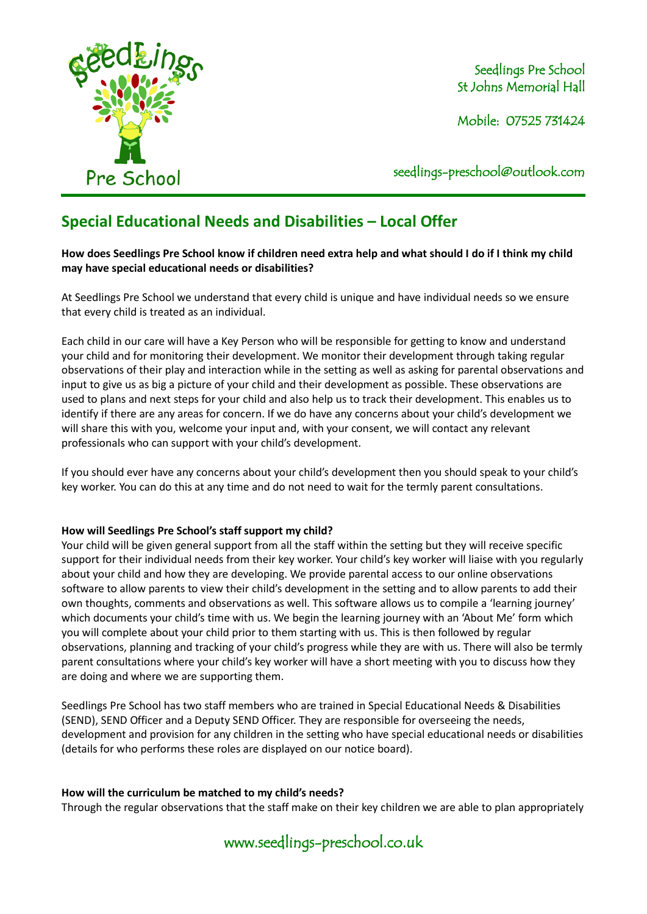

Mobile: 07525 731424

seedlings[-preschool@outlook.com](mailto:preschool@outlook.com)

# **Special Educational Needs and Disabilities – Local Offer**

## **How does Seedlings Pre School know if children need extra help and what should I do if I think my child may have special educational needs or disabilities?**

At Seedlings Pre School we understand that every child is unique and have individual needs so we ensure that every child is treated as an individual.

Each child in our care will have a Key Person who will be responsible for getting to know and understand your child and for monitoring their development. We monitor their development through taking regular observations of their play and interaction while in the setting as well as asking for parental observations and input to give us as big a picture of your child and their development as possible. These observations are used to plans and next steps for your child and also help us to track their development. This enables us to identify if there are any areas for concern. If we do have any concerns about your child's development we will share this with you, welcome your input and, with your consent, we will contact any relevant professionals who can support with your child's development.

If you should ever have any concerns about your child's development then you should speak to your child's key worker. You can do this at any time and do not need to wait for the termly parent consultations.

## **How will Seedlings Pre School's staff support my child?**

Your child will be given general support from all the staff within the setting but they will receive specific support for their individual needs from their key worker. Your child's key worker will liaise with you regularly about your child and how they are developing. We provide parental access to our online observations software to allow parents to view their child's development in the setting and to allow parents to add their own thoughts, comments and observations as well. This software allows us to compile a 'learning journey' which documents your child's time with us. We begin the learning journey with an 'About Me' form which you will complete about your child prior to them starting with us. This is then followed by regular observations, planning and tracking of your child's progress while they are with us. There will also be termly parent consultations where your child's key worker will have a short meeting with you to discuss how they are doing and where we are supporting them.

Seedlings Pre School has two staff members who are trained in Special Educational Needs & Disabilities (SEND), SEND Officer and a Deputy SEND Officer. They are responsible for overseeing the needs, development and provision for any children in the setting who have special educational needs or disabilities (details for who performs these roles are displayed on our notice board).

## **How will the curriculum be matched to my child's needs?**

Through the regular observations that the staff make on their key children we are able to plan appropriately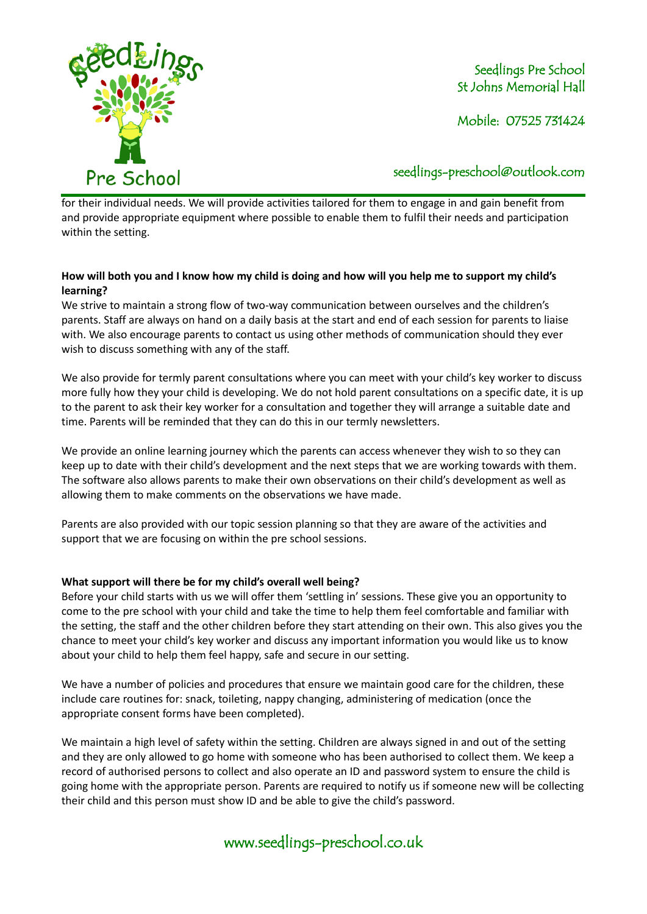

Mobile: 07525 731424

seedlings[-preschool@outlook.com](mailto:preschool@outlook.com)

for their individual needs. We will provide activities tailored for them to engage in and gain benefit from and provide appropriate equipment where possible to enable them to fulfil their needs and participation within the setting.

## **How will both you and I know how my child is doing and how will you help me to support my child's learning?**

We strive to maintain a strong flow of two-way communication between ourselves and the children's parents. Staff are always on hand on a daily basis at the start and end of each session for parents to liaise with. We also encourage parents to contact us using other methods of communication should they ever wish to discuss something with any of the staff.

We also provide for termly parent consultations where you can meet with your child's key worker to discuss more fully how they your child is developing. We do not hold parent consultations on a specific date, it is up to the parent to ask their key worker for a consultation and together they will arrange a suitable date and time. Parents will be reminded that they can do this in our termly newsletters.

We provide an online learning journey which the parents can access whenever they wish to so they can keep up to date with their child's development and the next steps that we are working towards with them. The software also allows parents to make their own observations on their child's development as well as allowing them to make comments on the observations we have made.

Parents are also provided with our topic session planning so that they are aware of the activities and support that we are focusing on within the pre school sessions.

## **What support will there be for my child's overall well being?**

Before your child starts with us we will offer them 'settling in' sessions. These give you an opportunity to come to the pre school with your child and take the time to help them feel comfortable and familiar with the setting, the staff and the other children before they start attending on their own. This also gives you the chance to meet your child's key worker and discuss any important information you would like us to know about your child to help them feel happy, safe and secure in our setting.

We have a number of policies and procedures that ensure we maintain good care for the children, these include care routines for: snack, toileting, nappy changing, administering of medication (once the appropriate consent forms have been completed).

We maintain a high level of safety within the setting. Children are always signed in and out of the setting and they are only allowed to go home with someone who has been authorised to collect them. We keep a record of authorised persons to collect and also operate an ID and password system to ensure the child is going home with the appropriate person. Parents are required to notify us if someone new will be collecting their child and this person must show ID and be able to give the child's password.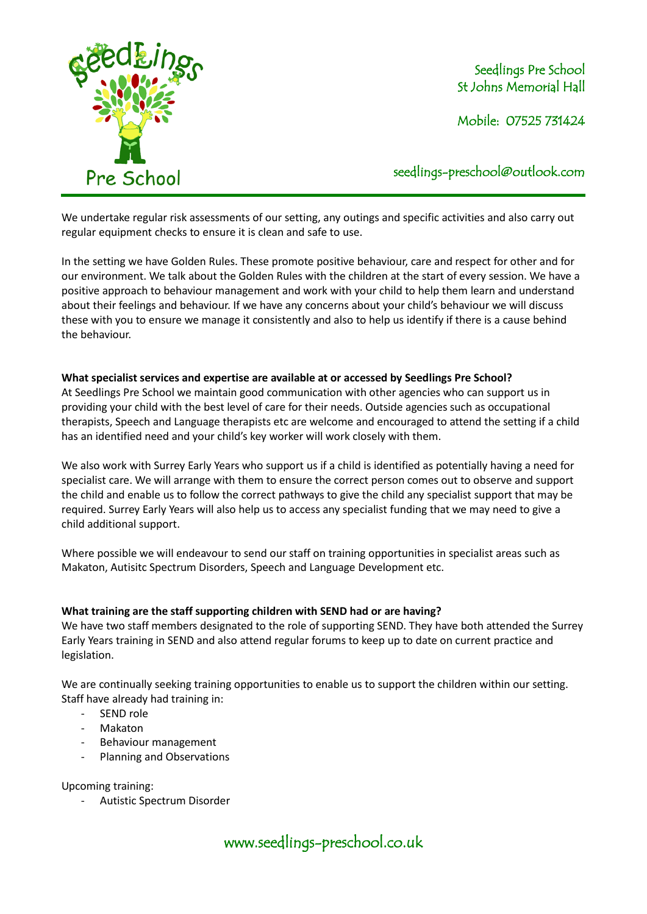

Mobile: 07525 731424

seedlings[-preschool@outlook.com](mailto:preschool@outlook.com)

We undertake regular risk assessments of our setting, any outings and specific activities and also carry out regular equipment checks to ensure it is clean and safe to use.

In the setting we have Golden Rules. These promote positive behaviour, care and respect for other and for our environment. We talk about the Golden Rules with the children at the start of every session. We have a positive approach to behaviour management and work with your child to help them learn and understand about their feelings and behaviour. If we have any concerns about your child's behaviour we will discuss these with you to ensure we manage it consistently and also to help us identify if there is a cause behind the behaviour.

#### **What specialist services and expertise are available at or accessed by Seedlings Pre School?**

At Seedlings Pre School we maintain good communication with other agencies who can support us in providing your child with the best level of care for their needs. Outside agencies such as occupational therapists, Speech and Language therapists etc are welcome and encouraged to attend the setting if a child has an identified need and your child's key worker will work closely with them.

We also work with Surrey Early Years who support us if a child is identified as potentially having a need for specialist care. We will arrange with them to ensure the correct person comes out to observe and support the child and enable us to follow the correct pathways to give the child any specialist support that may be required. Surrey Early Years will also help us to access any specialist funding that we may need to give a child additional support.

Where possible we will endeavour to send our staff on training opportunities in specialist areas such as Makaton, Autisitc Spectrum Disorders, Speech and Language Development etc.

#### **What training are the staff supporting children with SEND had or are having?**

We have two staff members designated to the role of supporting SEND. They have both attended the Surrey Early Years training in SEND and also attend regular forums to keep up to date on current practice and legislation.

We are continually seeking training opportunities to enable us to support the children within our setting. Staff have already had training in:

- SEND role
- Makaton
- Behaviour management
- Planning and Observations

Upcoming training:

Autistic Spectrum Disorder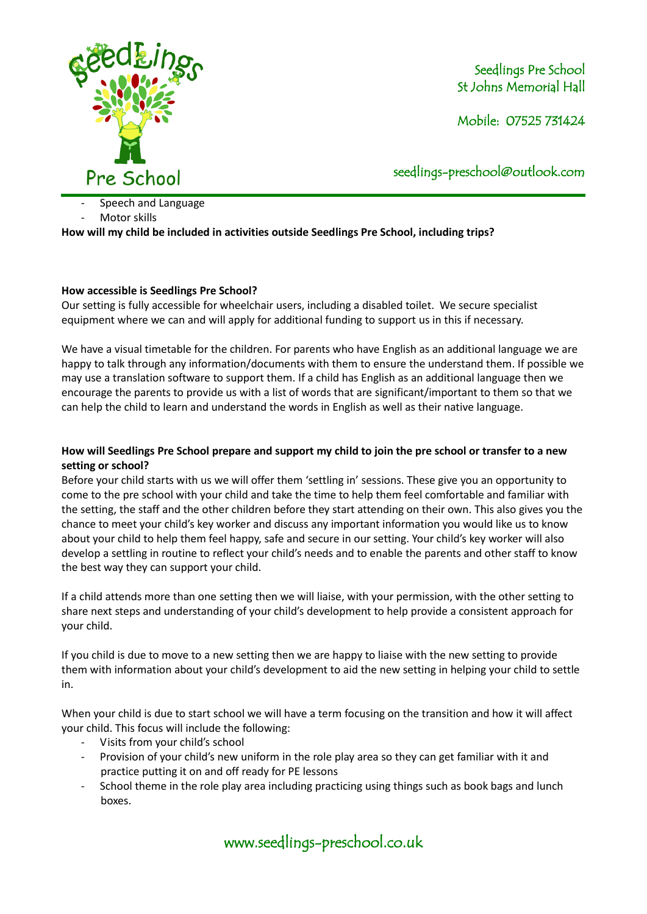

Mobile: 07525 731424

seedlings[-preschool@outlook.com](mailto:preschool@outlook.com)

- Speech and Language

Motor skills

**How will my child be included in activities outside Seedlings Pre School, including trips?**

# **How accessible is Seedlings Pre School?**

Our setting is fully accessible for wheelchair users, including a disabled toilet. We secure specialist equipment where we can and will apply for additional funding to support us in this if necessary.

We have a visual timetable for the children. For parents who have English as an additional language we are happy to talk through any information/documents with them to ensure the understand them. If possible we may use a translation software to support them. If a child has English as an additional language then we encourage the parents to provide us with a list of words that are significant/important to them so that we can help the child to learn and understand the words in English as well as their native language.

## **How will Seedlings Pre School prepare and support my child to join the pre school or transfer to a new setting or school?**

Before your child starts with us we will offer them 'settling in' sessions. These give you an opportunity to come to the pre school with your child and take the time to help them feel comfortable and familiar with the setting, the staff and the other children before they start attending on their own. This also gives you the chance to meet your child's key worker and discuss any important information you would like us to know about your child to help them feel happy, safe and secure in our setting. Your child's key worker will also develop a settling in routine to reflect your child's needs and to enable the parents and other staff to know the best way they can support your child.

If a child attends more than one setting then we will liaise, with your permission, with the other setting to share next steps and understanding of your child's development to help provide a consistent approach for your child.

If you child is due to move to a new setting then we are happy to liaise with the new setting to provide them with information about your child's development to aid the new setting in helping your child to settle in.

When your child is due to start school we will have a term focusing on the transition and how it will affect your child. This focus will include the following:

- Visits from your child's school
- Provision of your child's new uniform in the role play area so they can get familiar with it and practice putting it on and off ready for PE lessons
- School theme in the role play area including practicing using things such as book bags and lunch boxes.